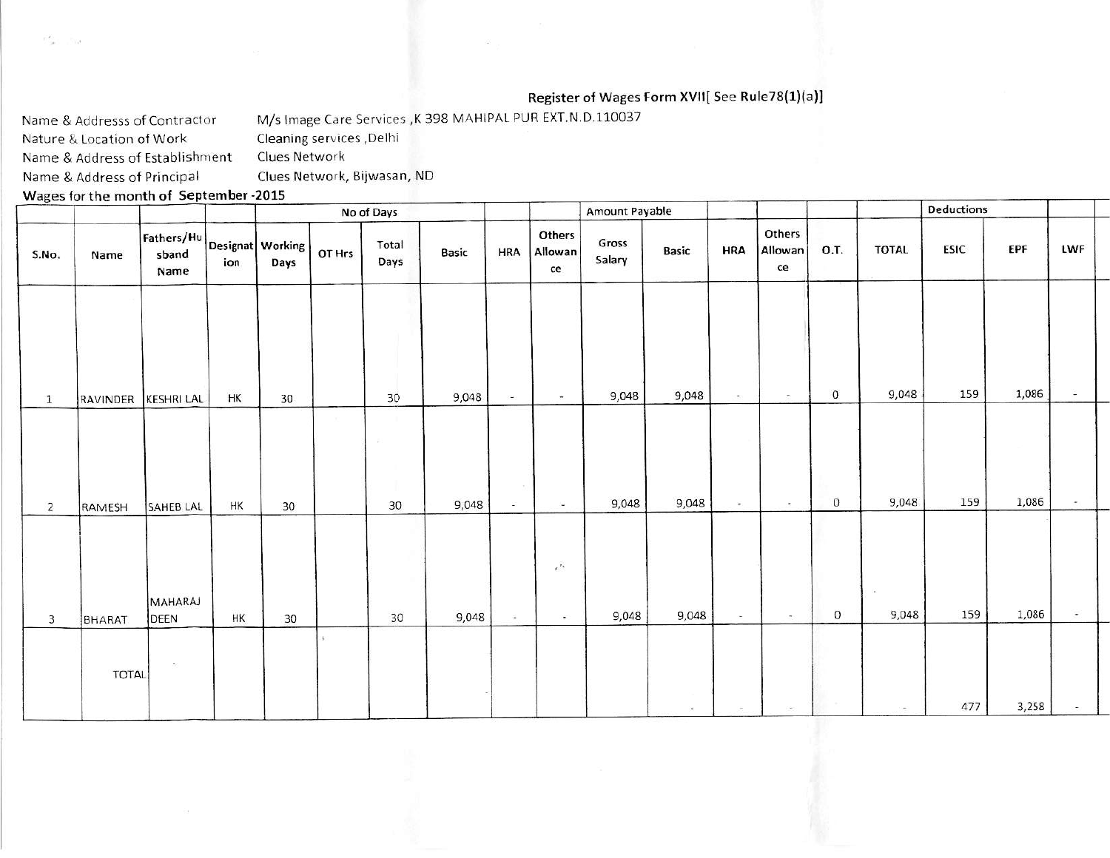## Register of Wages Form XVII[ See Rule78(1)(a)]

M/s Image Care Services , K 398 MAHIPAL PUR EXT.N.D.110037 Name & Addresss of Contractor Nature & Location of Work Cleaning services , Delhi Clues Network Name & Address of Establishment Clues Network, Bijwasan, ND Name & Address of Principal

Wages for the month of September -2015

nes inv

|                |                                                                                                                    |                   |     |      |        | No of Days    |       |               |                           | Amount Payable  |       |            |                         |             |                          | Deductions |            |                             |  |
|----------------|--------------------------------------------------------------------------------------------------------------------|-------------------|-----|------|--------|---------------|-------|---------------|---------------------------|-----------------|-------|------------|-------------------------|-------------|--------------------------|------------|------------|-----------------------------|--|
| S.No.          | $\fbox{\parbox{12cm}Fathers/Hu} \Big  {\small \texttt{Designat}} \Big  \ \texttt{Working} \ \big $<br>Name<br>Name |                   | ion | Days | OT Hrs | Total<br>Days | Basic | <b>HRA</b>    | Others<br>Allowan<br>ce   | Gross<br>Salary | Basic | <b>HRA</b> | Others<br>Allowan<br>ce | O.T.        | <b>TOTAL</b>             | ESIC       | <b>EPF</b> | LWF                         |  |
|                |                                                                                                                    |                   | HK  | 30   |        | 30            | 9,048 | i¥g           | $\frac{1}{2}$             | 9,048           | 9,048 | $\sim$     | $\sim$                  | $\mathbf 0$ | 9,048                    | 159        | 1,086      | ÷                           |  |
| $\mathbf{1}$   | RAVINDER                                                                                                           | <b>KESHRI LAL</b> |     |      |        |               |       |               |                           |                 |       |            |                         |             |                          |            |            |                             |  |
|                |                                                                                                                    |                   |     |      |        |               |       |               |                           |                 |       |            |                         |             |                          |            |            |                             |  |
| $\overline{2}$ | RAMESH                                                                                                             | SAHEB LAL         | HK  | 30   |        | 30            | 9,048 | $\frac{1}{2}$ | ÷.                        | 9,048           | 9,048 | $\sim$     | $\sim$                  | $\mathbf 0$ | 9,048                    | 159        | 1,086      | $\sim$                      |  |
| 3              | BHARAT                                                                                                             | MAHARAJ<br>DEEN   | HK  | 30   |        | 30            | 9,048 | ÷             | $e^{J_{\rm A}}$<br>$\sim$ | 9,048           | 9,048 | $\sim$     | $\sim 10$               | $\circ$     | $\alpha$<br>9,048        | 159        | 1,086      | $\overline{\phantom{a}}$    |  |
|                | TOTAL                                                                                                              | $\geq$            |     |      |        |               |       |               |                           |                 | in.   | $\sim$     | $\sim$                  |             | $\overline{\phantom{a}}$ | 477        | 3,258      | $\mathcal{C}^{\frac{1}{2}}$ |  |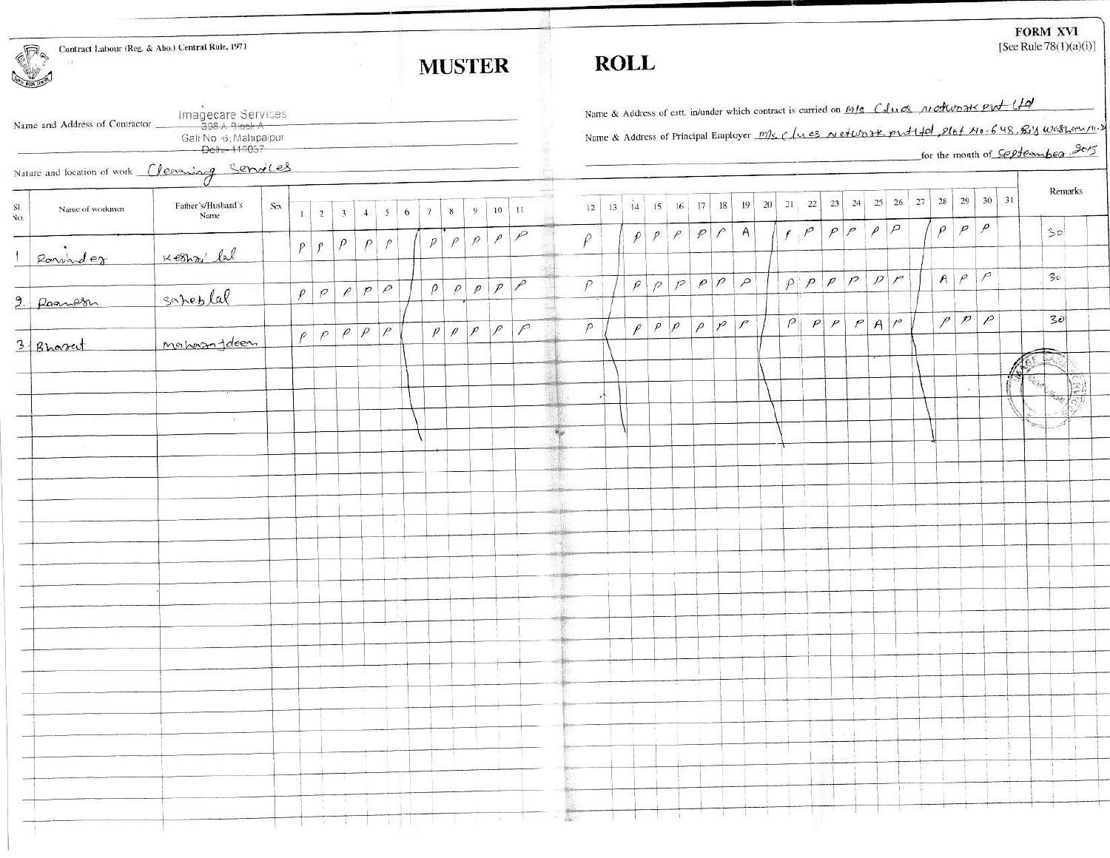| Contract Labour (Reg. & Abo.) Central Rule, 1971<br><b>CRANT</b> |                                |                                               |     |              |                  |                       |                      |   |            |        | <b>MUSTER</b> | <b>FORM XVI</b><br>[See Rule $78(1)(a)(i)$ ]<br><b>ROLL</b> |                                    |                |                                                                                                                                                                                                                                                                                                                                                                                                                                  |           |    |        |                  |                             |                                    |    |        |  |  |                         |  |          |                                         |  |                                                                                        |                   |     |                                                                                                   |              |
|------------------------------------------------------------------|--------------------------------|-----------------------------------------------|-----|--------------|------------------|-----------------------|----------------------|---|------------|--------|---------------|-------------------------------------------------------------|------------------------------------|----------------|----------------------------------------------------------------------------------------------------------------------------------------------------------------------------------------------------------------------------------------------------------------------------------------------------------------------------------------------------------------------------------------------------------------------------------|-----------|----|--------|------------------|-----------------------------|------------------------------------|----|--------|--|--|-------------------------|--|----------|-----------------------------------------|--|----------------------------------------------------------------------------------------|-------------------|-----|---------------------------------------------------------------------------------------------------|--------------|
|                                                                  |                                | Imagecare Services                            |     |              |                  |                       |                      |   |            |        |               |                                                             |                                    |                |                                                                                                                                                                                                                                                                                                                                                                                                                                  |           |    |        |                  |                             |                                    |    |        |  |  |                         |  |          |                                         |  | Name & Address of est. in/under which contract is carried on M/s College Motwood PW-UQ |                   |     |                                                                                                   |              |
|                                                                  | Name and Address of Contractor | Gali No. 6, Mahipalpur<br>Delhi-110057        |     |              |                  |                       |                      |   |            |        |               |                                                             |                                    |                |                                                                                                                                                                                                                                                                                                                                                                                                                                  |           |    |        |                  |                             |                                    |    |        |  |  |                         |  |          |                                         |  |                                                                                        |                   |     | Name & Address of Principal Employer m/s ( In es network protited, Plet 110-648, Big Western 11). |              |
|                                                                  |                                | Nature and location of work Cleaning Services |     |              |                  |                       |                      |   |            |        |               |                                                             |                                    |                |                                                                                                                                                                                                                                                                                                                                                                                                                                  |           |    |        |                  |                             |                                    |    |        |  |  |                         |  |          |                                         |  |                                                                                        |                   |     | for the month of <i>September</i> 205                                                             |              |
| $\mathbf{S} \mathbf{I}$<br>No.                                   | Name of workmen                | Father's/Husband's<br>Name                    | Ser | $\mathbf{1}$ | $\overline{2}$   | $\overline{3}$        | $\mathbf{4}$         |   | $5 \mid 6$ | $\tau$ | 8             | 9                                                           | $10 \mid 11$                       |                |                                                                                                                                                                                                                                                                                                                                                                                                                                  | 2         | 13 |        |                  |                             |                                    | 18 | 19     |  |  |                         |  |          | $20$   21   22   23   24   25   26   27 |  | $28 \mid 29 \mid 30 \mid 31$                                                           |                   |     | Remarks                                                                                           |              |
|                                                                  |                                |                                               |     | $\rho$       | $\left  \right $ | $\rho$                |                      | P |            | p      |               |                                                             | $\rho$ $\rho$ $\rho$ $\rho$        |                |                                                                                                                                                                                                                                                                                                                                                                                                                                  | $\varrho$ |    |        |                  |                             | $\rho$ $\rho$ $\rho$ $\rho$ $\rho$ |    | A      |  |  | $\mathcal{F}$           |  | $ \rho $ |                                         |  | $p \mid p$                                                                             | $\overline{\rho}$ |     | 30 <sup>1</sup>                                                                                   |              |
|                                                                  | Ronvarder                      | Keshz' lal                                    |     | $\rho$       | $\rho$           | $\rho$                | $p \rho$             |   |            |        |               |                                                             | $\rho$ $\rho$ $\rho$ $\rho$ $\rho$ |                |                                                                                                                                                                                                                                                                                                                                                                                                                                  | $\rho$    |    |        | $\rho \mid \rho$ |                             | p p                                |    | $\rho$ |  |  |                         |  |          | $p$ $p$ $p$ $p$ $p$                     |  | $A \rho P$                                                                             |                   |     | $\Im \circ$                                                                                       |              |
|                                                                  | 9. Ramosn                      | saheblal                                      |     |              |                  |                       |                      |   |            |        |               |                                                             |                                    |                |                                                                                                                                                                                                                                                                                                                                                                                                                                  |           |    |        |                  |                             |                                    |    |        |  |  |                         |  |          |                                         |  | p p                                                                                    |                   |     | 30                                                                                                |              |
|                                                                  | 3 Brower                       | monhamandeem                                  |     |              | $\rho  \rho $    |                       | $\rho$ $\rho$ $\rho$ |   |            |        | $\rho \rho$   |                                                             | $\sqrt{P}$                         | $\overline{P}$ |                                                                                                                                                                                                                                                                                                                                                                                                                                  | $\rho$    |    | $\rho$ |                  | $\rho$ $\rho$               | $\rho$                             |    | p      |  |  | $P$ $P$ $P$ $P$ $A$ $P$ |  |          |                                         |  |                                                                                        |                   |     |                                                                                                   |              |
|                                                                  |                                |                                               |     |              |                  |                       |                      |   |            |        |               |                                                             |                                    |                |                                                                                                                                                                                                                                                                                                                                                                                                                                  |           |    |        |                  |                             |                                    |    |        |  |  |                         |  |          |                                         |  |                                                                                        |                   |     |                                                                                                   | $\mathbb{E}$ |
|                                                                  |                                | $\overline{R}$                                |     |              |                  |                       |                      |   |            |        |               |                                                             |                                    |                |                                                                                                                                                                                                                                                                                                                                                                                                                                  |           |    |        |                  |                             |                                    |    |        |  |  |                         |  |          |                                         |  |                                                                                        |                   |     | 学校大夫                                                                                              |              |
|                                                                  |                                |                                               |     |              |                  |                       |                      |   |            |        |               |                                                             |                                    |                |                                                                                                                                                                                                                                                                                                                                                                                                                                  |           |    |        |                  |                             |                                    |    |        |  |  |                         |  |          |                                         |  |                                                                                        |                   |     |                                                                                                   |              |
|                                                                  |                                |                                               |     |              |                  |                       |                      |   |            |        |               |                                                             |                                    |                |                                                                                                                                                                                                                                                                                                                                                                                                                                  |           |    |        |                  |                             |                                    |    |        |  |  |                         |  |          |                                         |  |                                                                                        |                   |     |                                                                                                   |              |
|                                                                  |                                |                                               |     |              |                  |                       |                      |   |            |        |               |                                                             |                                    |                |                                                                                                                                                                                                                                                                                                                                                                                                                                  |           |    |        |                  |                             |                                    |    |        |  |  | Ш                       |  |          |                                         |  |                                                                                        |                   |     |                                                                                                   |              |
|                                                                  |                                |                                               |     |              |                  |                       |                      |   |            |        |               |                                                             |                                    |                |                                                                                                                                                                                                                                                                                                                                                                                                                                  |           |    |        |                  |                             |                                    |    |        |  |  |                         |  |          |                                         |  |                                                                                        |                   |     |                                                                                                   |              |
|                                                                  |                                |                                               |     |              |                  |                       |                      |   |            |        |               |                                                             |                                    |                |                                                                                                                                                                                                                                                                                                                                                                                                                                  |           |    |        |                  |                             |                                    |    |        |  |  |                         |  |          |                                         |  |                                                                                        |                   |     |                                                                                                   |              |
|                                                                  |                                |                                               |     |              |                  |                       |                      |   |            |        |               |                                                             |                                    |                |                                                                                                                                                                                                                                                                                                                                                                                                                                  |           |    |        |                  |                             |                                    |    |        |  |  |                         |  |          |                                         |  |                                                                                        |                   |     |                                                                                                   |              |
|                                                                  |                                |                                               |     |              |                  |                       |                      |   |            |        |               |                                                             |                                    |                |                                                                                                                                                                                                                                                                                                                                                                                                                                  |           |    |        |                  |                             |                                    |    |        |  |  |                         |  |          |                                         |  |                                                                                        |                   |     |                                                                                                   |              |
|                                                                  |                                |                                               |     |              |                  |                       |                      |   |            |        |               |                                                             |                                    |                |                                                                                                                                                                                                                                                                                                                                                                                                                                  |           |    |        |                  |                             |                                    |    |        |  |  |                         |  |          |                                         |  |                                                                                        |                   |     |                                                                                                   |              |
|                                                                  |                                |                                               |     |              |                  |                       |                      |   |            |        |               |                                                             |                                    |                |                                                                                                                                                                                                                                                                                                                                                                                                                                  |           |    |        |                  |                             |                                    |    |        |  |  |                         |  |          |                                         |  |                                                                                        |                   |     |                                                                                                   |              |
|                                                                  |                                |                                               |     |              |                  |                       |                      |   |            |        |               |                                                             |                                    |                |                                                                                                                                                                                                                                                                                                                                                                                                                                  |           |    |        |                  |                             |                                    |    |        |  |  |                         |  |          |                                         |  |                                                                                        |                   | - 6 |                                                                                                   |              |
|                                                                  |                                |                                               |     |              |                  | March 1980<br>2010年4月 |                      |   |            |        |               |                                                             |                                    |                |                                                                                                                                                                                                                                                                                                                                                                                                                                  |           |    |        | - Br             |                             |                                    |    |        |  |  |                         |  |          |                                         |  |                                                                                        |                   |     |                                                                                                   |              |
|                                                                  |                                |                                               |     |              |                  | <b>KING</b>           |                      |   |            |        |               |                                                             |                                    |                | $\frac{1}{\sqrt{2\pi}}\left(\frac{1}{\sqrt{2\pi}}\right)^{2}=\frac{1}{\sqrt{2\pi}}\left(\frac{1}{\sqrt{2\pi}}\right)^{2}=\frac{1}{\sqrt{2\pi}}\left(\frac{1}{\sqrt{2\pi}}\right)^{2}=\frac{1}{\sqrt{2\pi}}\left(\frac{1}{\sqrt{2\pi}}\right)^{2}=\frac{1}{\sqrt{2\pi}}\left(\frac{1}{\sqrt{2\pi}}\right)^{2}=\frac{1}{\sqrt{2\pi}}\left(\frac{1}{\sqrt{2\pi}}\right)^{2}=\frac{1}{\sqrt{2\pi}}\left(\frac{1}{\sqrt{2\pi}}\right$ |           |    |        |                  | $\mathcal{L} = \mathcal{L}$ |                                    |    |        |  |  |                         |  |          | and the state of the state of the       |  |                                                                                        |                   |     |                                                                                                   |              |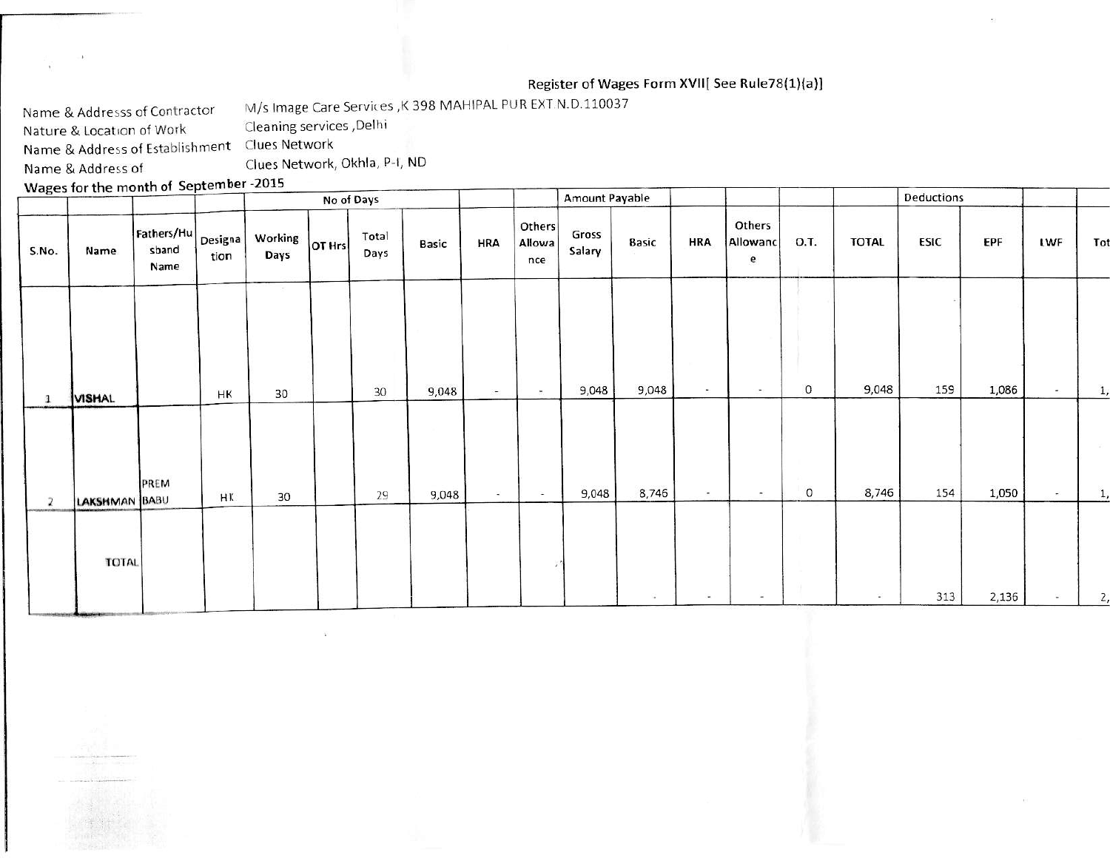## Register of Wages Form XVII[ See Rule78(1)(a)]

M/s Image Care Services , K 398 MAHIPAL PUR EXT.N.D.110037 Name & Addresss of Contractor

Cleaning services , Delhi Nature & Location of Work

Name & Address of Establishment Clues Network

Name & Address of

 $\bar{b}$ 

Clues Network, Okhla, P-I, ND

Wages for the month of September -2015

| $\sim$         |               |                             |                 |                                              | No of Days    |       |                |                         | <b>Amount Payable</b> |              |            |                           |             |              | Deductions  |       |               |                      |
|----------------|---------------|-----------------------------|-----------------|----------------------------------------------|---------------|-------|----------------|-------------------------|-----------------------|--------------|------------|---------------------------|-------------|--------------|-------------|-------|---------------|----------------------|
| S.No.          | Name          | Fathers/Hu<br>sband<br>Name | Designa<br>tion | Working $\vert_{\text{OT Hrs}}\vert$<br>Days | Total<br>Days | Basic | HRA            | Others<br>Allowa<br>nce | Gross<br>Salary       | <b>Basic</b> | <b>HRA</b> | Others<br>Allowanc<br>e   | O.T.        | <b>TOTAL</b> | <b>ESIC</b> | EPF   | LWF           | Tot                  |
|                |               |                             |                 |                                              |               | 9,048 | $\overline{a}$ | $\sim$                  | 9,048                 | 9,048        | $\sim$     | <b>COL</b>                | $\mathbf 0$ | 9,048        | 159         | 1,086 | $\sim$        | 1,                   |
| $\mathbf{1}$   | <b>VISHAL</b> |                             | HK              | 30                                           | 30            |       |                |                         |                       |              |            |                           |             |              |             |       |               |                      |
| $\overline{z}$ | LAKSHMAN BABU | PREM                        | HK              | 30                                           | 29            | 9,048 | $\sim$         | $\sim$                  | 9,048                 | 8,746        | $\sim$     | $\langle \hat{m} \rangle$ | $\circ$     | 8,746        | 154         | 1,050 | $\frac{1}{2}$ | <b>COLLEGE</b><br>1, |
|                |               |                             |                 |                                              |               |       |                |                         |                       |              |            |                           |             |              |             |       |               |                      |
|                | <b>TOTAL</b>  |                             |                 |                                              |               |       |                |                         |                       |              | $\sim$     |                           |             | $\sim$       | 313         | 2,136 | S.            | 2,                   |